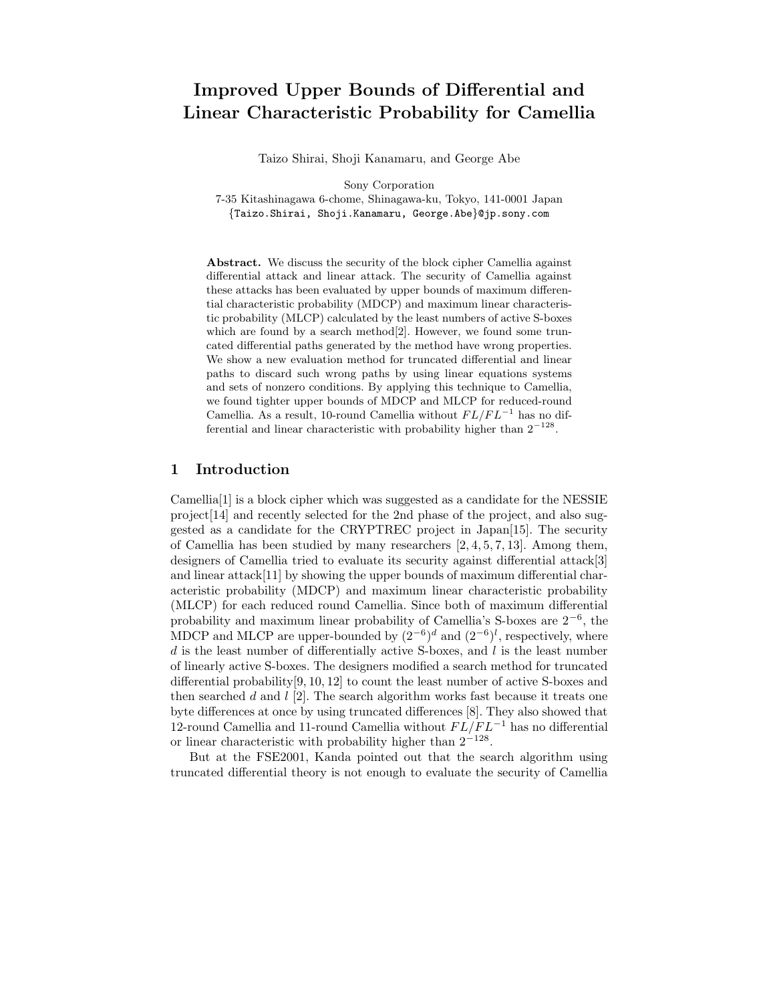# Improved Upper Bounds of Differential and Linear Characteristic Probability for Camellia

Taizo Shirai, Shoji Kanamaru, and George Abe

Sony Corporation 7-35 Kitashinagawa 6-chome, Shinagawa-ku, Tokyo, 141-0001 Japan {Taizo.Shirai, Shoji.Kanamaru, George.Abe}@jp.sony.com

Abstract. We discuss the security of the block cipher Camellia against differential attack and linear attack. The security of Camellia against these attacks has been evaluated by upper bounds of maximum differential characteristic probability (MDCP) and maximum linear characteristic probability (MLCP) calculated by the least numbers of active S-boxes which are found by a search method<sup>[2]</sup>. However, we found some truncated differential paths generated by the method have wrong properties. We show a new evaluation method for truncated differential and linear paths to discard such wrong paths by using linear equations systems and sets of nonzero conditions. By applying this technique to Camellia, we found tighter upper bounds of MDCP and MLCP for reduced-round Camellia. As a result, 10-round Camellia without  $FL/FL^{-1}$  has no differential and linear characteristic with probability higher than  $2^{-128}$ .

## 1 Introduction

Camellia[1] is a block cipher which was suggested as a candidate for the NESSIE project[14] and recently selected for the 2nd phase of the project, and also suggested as a candidate for the CRYPTREC project in Japan[15]. The security of Camellia has been studied by many researchers [2, 4, 5, 7, 13]. Among them, designers of Camellia tried to evaluate its security against differential attack[3] and linear attack  $[11]$  by showing the upper bounds of maximum differential characteristic probability (MDCP) and maximum linear characteristic probability (MLCP) for each reduced round Camellia. Since both of maximum differential probability and maximum linear probability of Camellia's S-boxes are  $2^{-6}$ , the MDCP and MLCP are upper-bounded by  $(2^{-6})^d$  and  $(2^{-6})^l$ , respectively, where  $d$  is the least number of differentially active S-boxes, and  $l$  is the least number of linearly active S-boxes. The designers modified a search method for truncated differential probability $[9, 10, 12]$  to count the least number of active S-boxes and then searched  $d$  and  $l$  [2]. The search algorithm works fast because it treats one byte differences at once by using truncated differences [8]. They also showed that 12-round Camellia and 11-round Camellia without  $FL/FL^{-1}$  has no differential or linear characteristic with probability higher than  $2^{-128}$ .

But at the FSE2001, Kanda pointed out that the search algorithm using truncated differential theory is not enough to evaluate the security of Camellia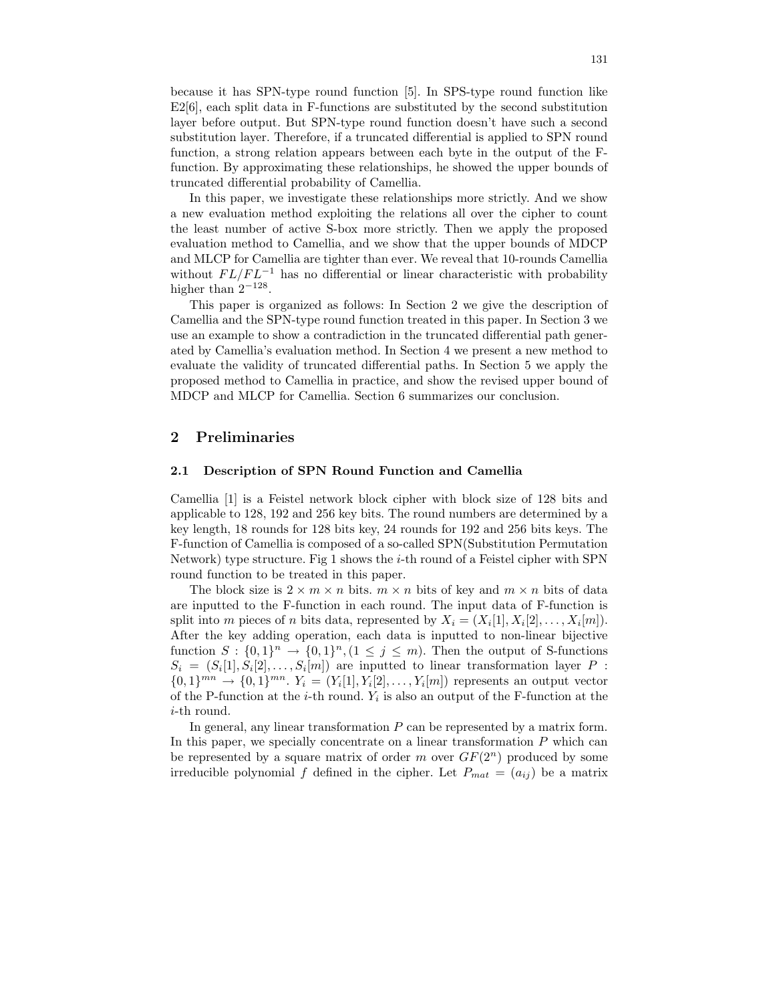because it has SPN-type round function [5]. In SPS-type round function like E2[6], each split data in F-functions are substituted by the second substitution layer before output. But SPN-type round function doesn't have such a second substitution layer. Therefore, if a truncated differential is applied to SPN round function, a strong relation appears between each byte in the output of the Ffunction. By approximating these relationships, he showed the upper bounds of truncated differential probability of Camellia.

In this paper, we investigate these relationships more strictly. And we show a new evaluation method exploiting the relations all over the cipher to count the least number of active S-box more strictly. Then we apply the proposed evaluation method to Camellia, and we show that the upper bounds of MDCP and MLCP for Camellia are tighter than ever. We reveal that 10-rounds Camellia without  $FL/FL^{-1}$  has no differential or linear characteristic with probability higher than  $2^{-128}$ .

This paper is organized as follows: In Section 2 we give the description of Camellia and the SPN-type round function treated in this paper. In Section 3 we use an example to show a contradiction in the truncated differential path generated by Camellia's evaluation method. In Section 4 we present a new method to evaluate the validity of truncated differential paths. In Section 5 we apply the proposed method to Camellia in practice, and show the revised upper bound of MDCP and MLCP for Camellia. Section 6 summarizes our conclusion.

## 2 Preliminaries

### 2.1 Description of SPN Round Function and Camellia

Camellia [1] is a Feistel network block cipher with block size of 128 bits and applicable to 128, 192 and 256 key bits. The round numbers are determined by a key length, 18 rounds for 128 bits key, 24 rounds for 192 and 256 bits keys. The F-function of Camellia is composed of a so-called SPN(Substitution Permutation Network) type structure. Fig 1 shows the i-th round of a Feistel cipher with SPN round function to be treated in this paper.

The block size is  $2 \times m \times n$  bits.  $m \times n$  bits of key and  $m \times n$  bits of data are inputted to the F-function in each round. The input data of F-function is split into m pieces of n bits data, represented by  $X_i = (X_i[1], X_i[2], \ldots, X_i[m])$ . After the key adding operation, each data is inputted to non-linear bijective function  $S: \{0,1\}^n \to \{0,1\}^n, (1 \leq j \leq m)$ . Then the output of S-functions  $S_i = (S_i[1], S_i[2], \ldots, S_i[m])$  are inputted to linear transformation layer P:  ${0,1}^{mn} \to {0,1}^{mn}$ .  $Y_i = (Y_i[1], Y_i[2], \ldots, Y_i[m])$  represents an output vector of the P-function at the *i*-th round.  $Y_i$  is also an output of the F-function at the i-th round.

In general, any linear transformation  $P$  can be represented by a matrix form. In this paper, we specially concentrate on a linear transformation  $P$  which can be represented by a square matrix of order m over  $GF(2^n)$  produced by some irreducible polynomial f defined in the cipher. Let  $P_{mat} = (a_{ij})$  be a matrix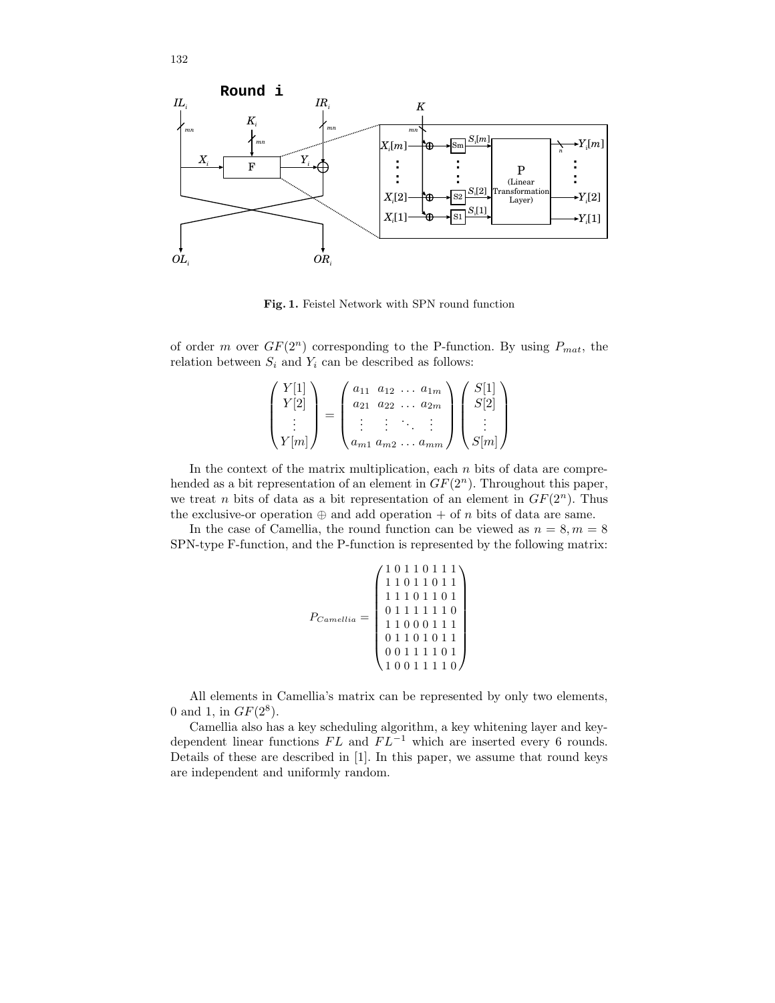

Fig. 1. Feistel Network with SPN round function

of order m over  $GF(2^n)$  corresponding to the P-function. By using  $P_{mat}$ , the relation between  $S_i$  and  $Y_i$  can be described as follows:

$$
\begin{pmatrix} Y[1] \\ Y[2] \\ \vdots \\ Y[m] \end{pmatrix} = \begin{pmatrix} a_{11} & a_{12} & \dots & a_{1m} \\ a_{21} & a_{22} & \dots & a_{2m} \\ \vdots & \vdots & \ddots & \vdots \\ a_{m1} & a_{m2} & \dots & a_{mm} \end{pmatrix} \begin{pmatrix} S[1] \\ S[2] \\ \vdots \\ S[m] \end{pmatrix}
$$

In the context of the matrix multiplication, each  $n$  bits of data are comprehended as a bit representation of an element in  $GF(2<sup>n</sup>)$ . Throughout this paper, we treat *n* bits of data as a bit representation of an element in  $GF(2<sup>n</sup>)$ . Thus the exclusive-or operation  $\oplus$  and add operation + of n bits of data are same.

In the case of Camellia, the round function can be viewed as  $n = 8, m = 8$ SPN-type F-function, and the P-function is represented by the following matrix:

|                | 10110111                        |
|----------------|---------------------------------|
|                | 11011011                        |
| $P_{Camellia}$ | 11101101                        |
|                | 01111110                        |
|                | 11000111                        |
|                | 0 1 1 0 1 0 1 1                 |
|                | $0\; 0\; 1\; 1\; 1\; 1\; 0\; 1$ |
|                | 11110<br>-0                     |

All elements in Camellia's matrix can be represented by only two elements, 0 and 1, in  $GF(2^8)$ .

Camellia also has a key scheduling algorithm, a key whitening layer and keydependent linear functions  $FL$  and  $FL^{-1}$  which are inserted every 6 rounds. Details of these are described in [1]. In this paper, we assume that round keys are independent and uniformly random.

132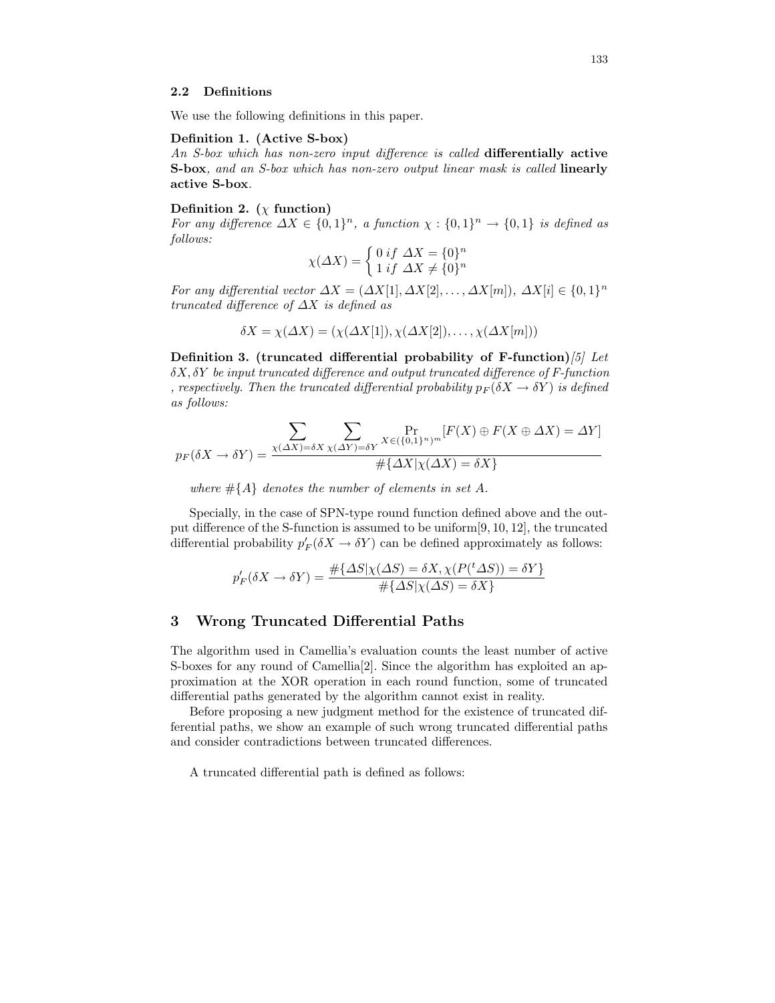### 2.2 Definitions

We use the following definitions in this paper.

## Definition 1. (Active S-box)

An S-box which has non-zero input difference is called differentially active S-box, and an S-box which has non-zero output linear mask is called linearly active S-box.

## Definition 2. ( $\chi$  function)

For any difference  $\Delta X \in \{0,1\}^n$ , a function  $\chi : \{0,1\}^n \to \{0,1\}$  is defined as follows:

$$
\chi(\Delta X) = \begin{cases} 0 & \text{if } \Delta X = \{0\}^n \\ 1 & \text{if } \Delta X \neq \{0\}^n \end{cases}
$$

For any differential vector  $\Delta X = (\Delta X[1], \Delta X[2], \ldots, \Delta X[m])$ ,  $\Delta X[i] \in \{0, 1\}^n$ truncated difference of  $\Delta X$  is defined as

$$
\delta X = \chi(\Delta X) = (\chi(\Delta X[1]), \chi(\Delta X[2]), \dots, \chi(\Delta X[m]))
$$

Definition 3. (truncated differential probability of F-function)  $[5]$  Let  $\delta X$ ,  $\delta Y$  be input truncated difference and output truncated difference of F-function , respectively. Then the truncated differential probability  $p_F(\delta X \to \delta Y)$  is defined as follows:

$$
p_F(\delta X \to \delta Y) = \frac{\sum_{X(\Delta X) = \delta X} \sum_{\chi(\Delta Y) = \delta Y} \Pr_{X \in (\{0,1\}^n)^m} [F(X) \oplus F(X \oplus \Delta X) = \Delta Y]}{\#\{\Delta X | \chi(\Delta X) = \delta X\}}
$$

where  $\#\{A\}$  denotes the number of elements in set A.

Specially, in the case of SPN-type round function defined above and the output difference of the S-function is assumed to be uniform[9, 10, 12], the truncated differential probability  $p'_F(\delta X \to \delta Y)$  can be defined approximately as follows:

$$
p'_{F}(\delta X \to \delta Y) = \frac{\# \{\Delta S | \chi(\Delta S) = \delta X, \chi(P(^t \Delta S)) = \delta Y\}}{\# \{\Delta S | \chi(\Delta S) = \delta X\}}
$$

## 3 Wrong Truncated Differential Paths

The algorithm used in Camellia's evaluation counts the least number of active S-boxes for any round of Camellia<sup>[2]</sup>. Since the algorithm has exploited an approximation at the XOR operation in each round function, some of truncated differential paths generated by the algorithm cannot exist in reality.

Before proposing a new judgment method for the existence of truncated differential paths, we show an example of such wrong truncated differential paths and consider contradictions between truncated differences.

A truncated differential path is defined as follows: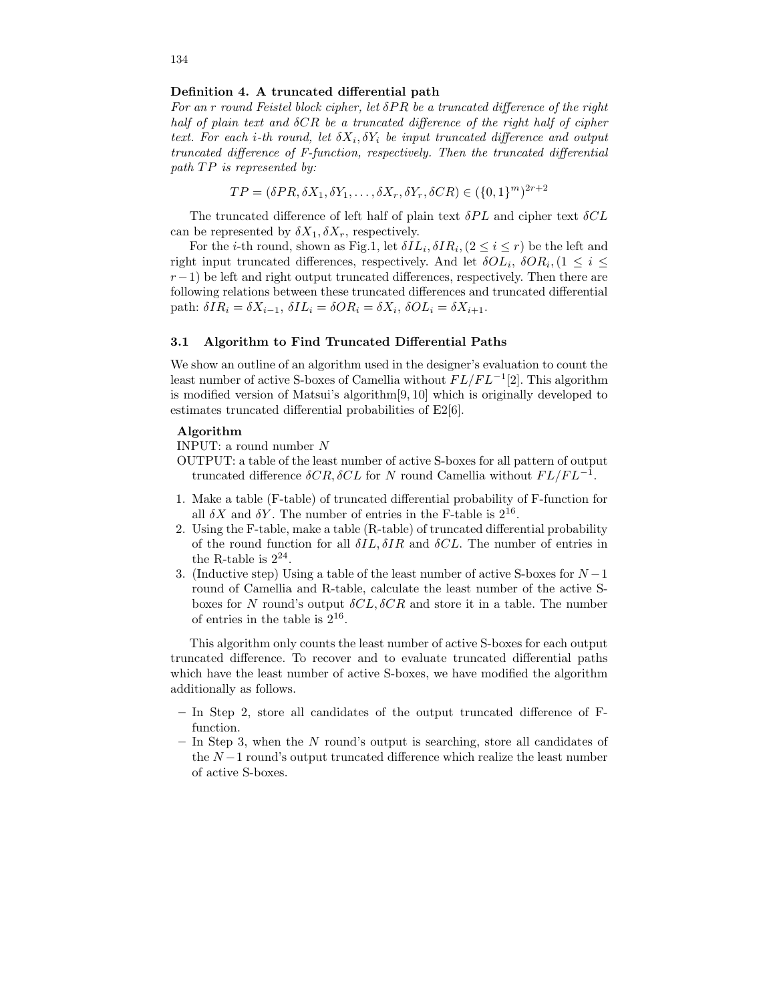### Definition 4. A truncated differential path

For an r round Feistel block cipher, let  $\delta PR$  be a truncated difference of the right half of plain text and δCR be a truncated difference of the right half of cipher text. For each *i*-th round, let  $\delta X_i, \delta Y_i$  be input truncated difference and output truncated difference of F-function, respectively. Then the truncated differential path TP is represented by:

$$
TP = (\delta PR, \delta X_1, \delta Y_1, \dots, \delta X_r, \delta Y_r, \delta CR) \in (\{0, 1\}^m)^{2r+2}
$$

The truncated difference of left half of plain text  $\delta PL$  and cipher text  $\delta CL$ can be represented by  $\delta X_1, \delta X_r$ , respectively.

For the *i*-th round, shown as Fig.1, let  $\delta IL_i, \delta IR_i, (2 \leq i \leq r)$  be the left and right input truncated differences, respectively. And let  $\delta O L_i$ ,  $\delta O R_i$ ,  $(1 \leq i \leq j)$  $r-1$ ) be left and right output truncated differences, respectively. Then there are following relations between these truncated differences and truncated differential path:  $\delta IR_i = \delta X_{i-1}, \, \delta IL_i = \delta OR_i = \delta X_i, \, \delta OL_i = \delta X_{i+1}.$ 

### 3.1 Algorithm to Find Truncated Differential Paths

We show an outline of an algorithm used in the designer's evaluation to count the least number of active S-boxes of Camellia without  $FL/FL^{-1}[2]$ . This algorithm is modified version of Matsui's algorithm[9, 10] which is originally developed to estimates truncated differential probabilities of E2[6].

### Algorithm

INPUT: a round number  $\cal N$ 

- OUTPUT: a table of the least number of active S-boxes for all pattern of output truncated difference  $\delta CR, \delta CL$  for N round Camellia without  $FL/FL^{-1}$ .
- 1. Make a table (F-table) of truncated differential probability of F-function for all  $\delta X$  and  $\delta Y$ . The number of entries in the F-table is  $2^{16}$ .
- 2. Using the F-table, make a table (R-table) of truncated differential probability of the round function for all  $\delta IL, \delta IR$  and  $\delta CL$ . The number of entries in the R-table is  $2^{24}$ .
- 3. (Inductive step) Using a table of the least number of active S-boxes for  $N-1$ round of Camellia and R-table, calculate the least number of the active Sboxes for N round's output  $\delta CL, \delta CR$  and store it in a table. The number of entries in the table is  $2^{16}$ .

This algorithm only counts the least number of active S-boxes for each output truncated difference. To recover and to evaluate truncated differential paths which have the least number of active S-boxes, we have modified the algorithm additionally as follows.

- In Step 2, store all candidates of the output truncated difference of Ffunction.
- $-$  In Step 3, when the N round's output is searching, store all candidates of the  $N-1$  round's output truncated difference which realize the least number of active S-boxes.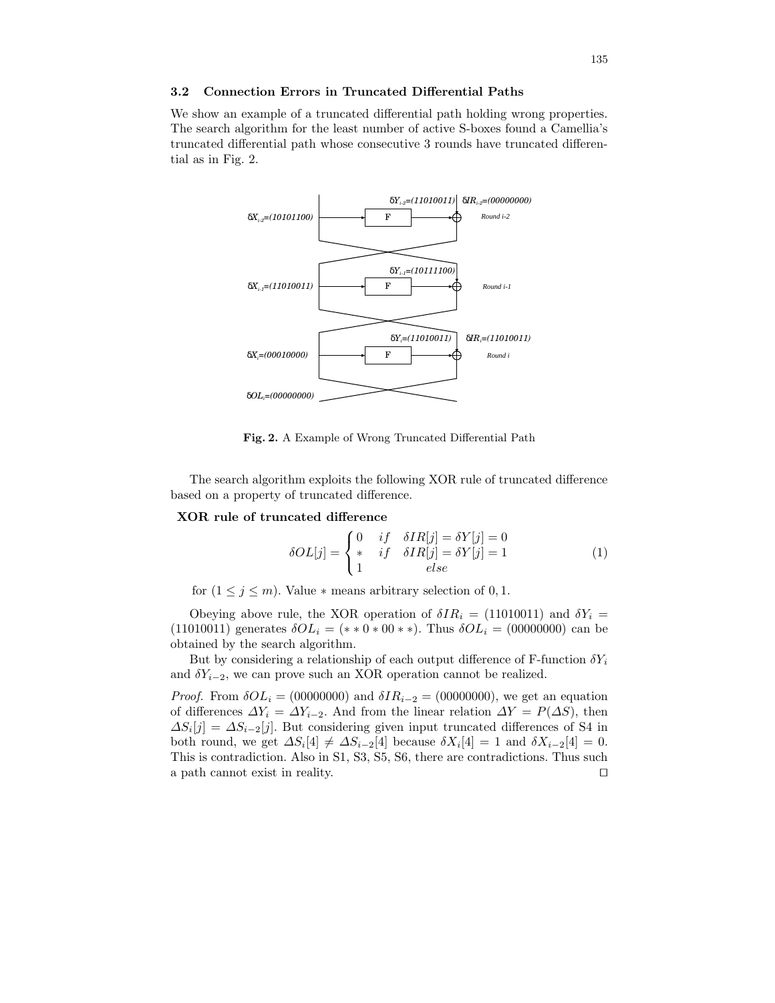## 3.2 Connection Errors in Truncated Differential Paths

We show an example of a truncated differential path holding wrong properties. The search algorithm for the least number of active S-boxes found a Camellia's truncated differential path whose consecutive 3 rounds have truncated differential as in Fig. 2.



Fig. 2. A Example of Wrong Truncated Differential Path

The search algorithm exploits the following XOR rule of truncated difference based on a property of truncated difference.

### XOR rule of truncated difference

$$
\delta O L[j] = \begin{cases} 0 & if & \delta I R[j] = \delta Y[j] = 0\\ * & if & \delta I R[j] = \delta Y[j] = 1\\ 1 & else \end{cases}
$$
(1)

for  $(1 \leq j \leq m)$ . Value  $*$  means arbitrary selection of 0, 1.

Obeying above rule, the XOR operation of  $\delta IR_i = (11010011)$  and  $\delta Y_i =$ (11010011) generates δOL<sup>i</sup> = (∗ ∗ 0 ∗ 00 ∗ ∗). Thus δOL<sup>i</sup> = (00000000) can be obtained by the search algorithm.

But by considering a relationship of each output difference of F-function  $\delta Y_i$ and  $\delta Y_{i-2}$ , we can prove such an XOR operation cannot be realized.

*Proof.* From  $\delta O L_i = (00000000)$  and  $\delta I R_{i-2} = (00000000)$ , we get an equation of differences  $\Delta Y_i = \Delta Y_{i-2}$ . And from the linear relation  $\Delta Y = P(\Delta S)$ , then  $\Delta S_i[j] = \Delta S_{i-2}[j]$ . But considering given input truncated differences of S4 in both round, we get  $\Delta S_i[4] \neq \Delta S_{i-2}[4]$  because  $\delta X_i[4] = 1$  and  $\delta X_{i-2}[4] = 0$ . This is contradiction. Also in S1, S3, S5, S6, there are contradictions. Thus such a path cannot exist in reality.  $\Box$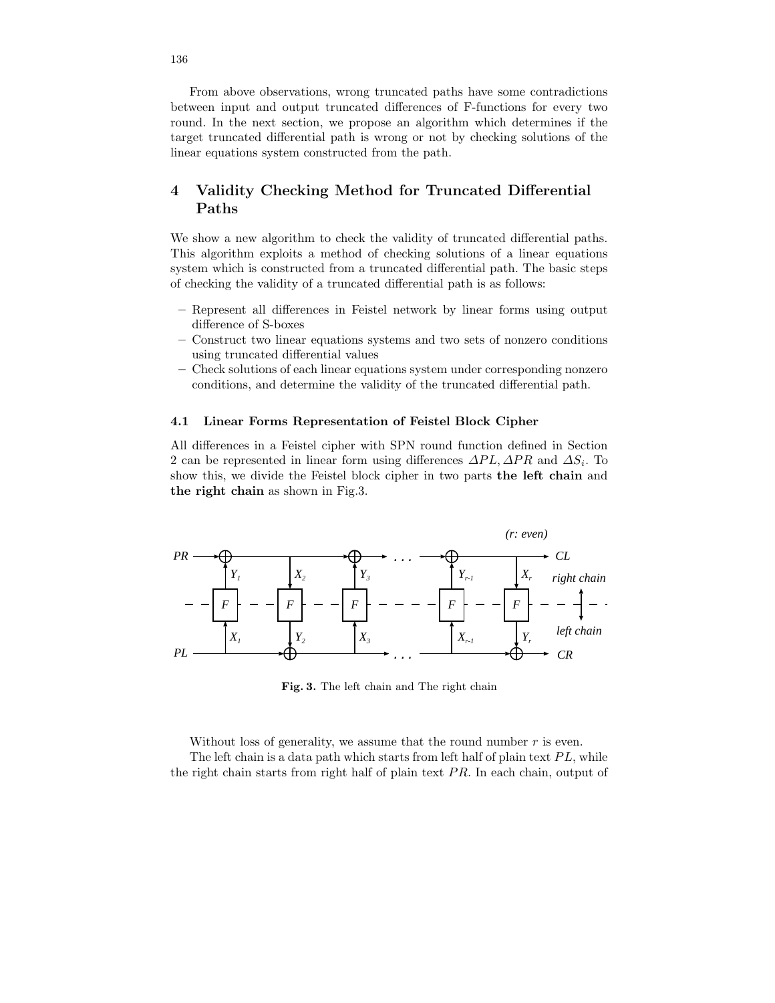From above observations, wrong truncated paths have some contradictions between input and output truncated differences of F-functions for every two round. In the next section, we propose an algorithm which determines if the target truncated differential path is wrong or not by checking solutions of the linear equations system constructed from the path.

## 4 Validity Checking Method for Truncated Differential Paths

We show a new algorithm to check the validity of truncated differential paths. This algorithm exploits a method of checking solutions of a linear equations system which is constructed from a truncated differential path. The basic steps of checking the validity of a truncated differential path is as follows:

- Represent all differences in Feistel network by linear forms using output difference of S-boxes
- Construct two linear equations systems and two sets of nonzero conditions using truncated differential values
- Check solutions of each linear equations system under corresponding nonzero conditions, and determine the validity of the truncated differential path.

### 4.1 Linear Forms Representation of Feistel Block Cipher

All differences in a Feistel cipher with SPN round function defined in Section 2 can be represented in linear form using differences  $\Delta PL$ ,  $\Delta PR$  and  $\Delta S_i$ . To show this, we divide the Feistel block cipher in two parts the left chain and the right chain as shown in Fig.3.



Fig. 3. The left chain and The right chain

Without loss of generality, we assume that the round number  $r$  is even. The left chain is a data path which starts from left half of plain text  $PL$ , while the right chain starts from right half of plain text  $PR$ . In each chain, output of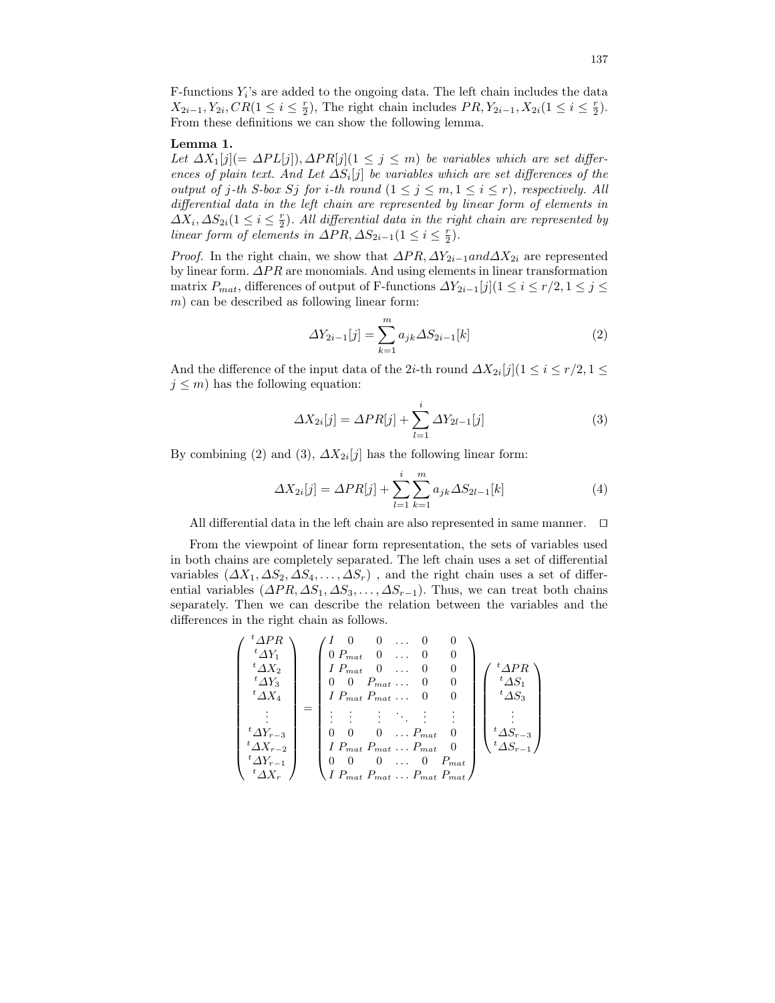$F$ -functions  $Y_i$ 's are added to the ongoing data. The left chain includes the data  $X_{2i-1}, Y_{2i}, CR(1 \leq i \leq \frac{r}{2})$ , The right chain includes  $PR, Y_{2i-1}, X_{2i}(1 \leq i \leq \frac{r}{2})$ . From these definitions we can show the following lemma.

### Lemma 1.

Let  $\Delta X_1[j](=\Delta PL[j])$ ,  $\Delta PR[j](1 \leq j \leq m)$  be variables which are set differences of plain text. And Let  $\Delta S_i[j]$  be variables which are set differences of the output of j-th S-box Sj for i-th round  $(1 \le j \le m, 1 \le i \le r)$ , respectively. All differential data in the left chain are represented by linear form of elements in  $\Delta X_i, \Delta S_{2i} (1 \leq i \leq \frac{r}{2}).$  All differential data in the right chain are represented by linear form of elements in  $\Delta PR$ ,  $\Delta S_{2i-1}(1 \leq i \leq \frac{r}{2})$ .

*Proof.* In the right chain, we show that  $\Delta PR$ ,  $\Delta Y_{2i-1}$  and  $\Delta X_{2i}$  are represented by linear form. ∆PR are monomials. And using elements in linear transformation matrix  $P_{mat}$ , differences of output of F-functions  $\Delta Y_{2i-1}[j](1 \leq i \leq r/2, 1 \leq j \leq r/2)$  $m$ ) can be described as following linear form:

$$
\Delta Y_{2i-1}[j] = \sum_{k=1}^{m} a_{jk} \Delta S_{2i-1}[k]
$$
 (2)

And the difference of the input data of the 2*i*-th round  $\Delta X_{2i}[j](1 \leq i \leq r/2, 1 \leq r/2)$  $j \leq m$ ) has the following equation:

$$
\Delta X_{2i}[j] = \Delta PR[j] + \sum_{l=1}^{i} \Delta Y_{2l-1}[j]
$$
 (3)

By combining (2) and (3),  $\Delta X_{2i}[j]$  has the following linear form:

$$
\Delta X_{2i}[j] = \Delta PR[j] + \sum_{l=1}^{i} \sum_{k=1}^{m} a_{jk} \Delta S_{2l-1}[k]
$$
 (4)

All differential data in the left chain are also represented in same manner.  $\Box$ 

From the viewpoint of linear form representation, the sets of variables used in both chains are completely separated. The left chain uses a set of differential variables  $(\Delta X_1, \Delta S_2, \Delta S_4, \ldots, \Delta S_r)$ , and the right chain uses a set of differential variables  $(\Delta PR, \Delta S_1, \Delta S_3, \ldots, \Delta S_{r-1})$ . Thus, we can treat both chains separately. Then we can describe the relation between the variables and the differences in the right chain as follows.

$$
\begin{pmatrix}\n^{t}\Delta PR \\
^{t}\Delta Y_{1} \\
^{t}\Delta X_{2} \\
^{t}\Delta Y_{3} \\
^{t}\Delta X_{4} \\
\vdots \\
^{t}\Delta Y_{r-3} \\
^{t}\Delta X_{r-2} \\
^{t}\Delta X_{r-1} \\
^{t}\Delta X_{r}\n\end{pmatrix} = \begin{pmatrix}\nI & 0 & 0 & \dots & 0 & 0 \\
0 & P_{mat} & 0 & \dots & 0 & 0 \\
I & P_{mat} & 0 & \dots & 0 & 0 \\
0 & 0 & P_{mat} & \dots & 0 & 0 \\
I & P_{mat} & P_{mat} & \dots & 0 & 0 \\
\vdots & \vdots & \vdots & \ddots & \vdots & \vdots \\
0 & 0 & 0 & \dots & P_{mat} & 0 \\
I & P_{mat} & P_{mat} & \dots & P_{mat} & 0 \\
0 & 0 & 0 & \dots & 0 & P_{mat} \\
I & P_{mat} & P_{mat} & \dots & P_{mat} & P_{mat}\n\end{pmatrix}\n\begin{pmatrix}\n^{t}\Delta PR \\
^{t}\Delta S_{1} \\
^{t}\Delta S_{2} \\
^{t}\Delta S_{r-3} \\
^{t}\Delta S_{r-1}\n\end{pmatrix}
$$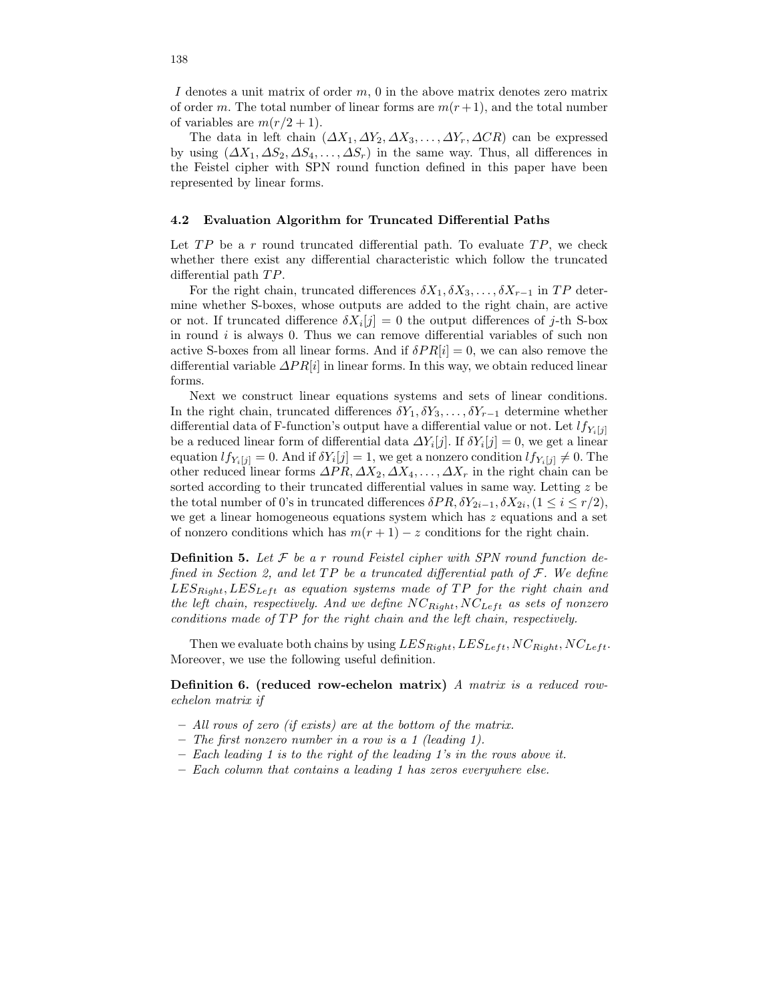I denotes a unit matrix of order  $m$ , 0 in the above matrix denotes zero matrix of order m. The total number of linear forms are  $m(r+1)$ , and the total number of variables are  $m(r/2+1)$ .

The data in left chain  $(\Delta X_1, \Delta Y_2, \Delta X_3, \ldots, \Delta Y_r, \Delta CR)$  can be expressed by using  $(\Delta X_1, \Delta S_2, \Delta S_4, \ldots, \Delta S_r)$  in the same way. Thus, all differences in the Feistel cipher with SPN round function defined in this paper have been represented by linear forms.

### 4.2 Evaluation Algorithm for Truncated Differential Paths

Let  $TP$  be a r round truncated differential path. To evaluate  $TP$ , we check whether there exist any differential characteristic which follow the truncated differential path TP.

For the right chain, truncated differences  $\delta X_1, \delta X_3, \ldots, \delta X_{r-1}$  in TP determine whether S-boxes, whose outputs are added to the right chain, are active or not. If truncated difference  $\delta X_i[j] = 0$  the output differences of j-th S-box in round  $i$  is always 0. Thus we can remove differential variables of such non active S-boxes from all linear forms. And if  $\delta PR[i] = 0$ , we can also remove the differential variable  $\Delta PR[i]$  in linear forms. In this way, we obtain reduced linear forms.

Next we construct linear equations systems and sets of linear conditions. In the right chain, truncated differences  $\delta Y_1, \delta Y_3, \ldots, \delta Y_{r-1}$  determine whether differential data of F-function's output have a differential value or not. Let  $lf_{Y_i[j]}$ be a reduced linear form of differential data  $\Delta Y_i[j]$ . If  $\delta Y_i[j] = 0$ , we get a linear equation  $lf_{Y_i[j]} = 0$ . And if  $\delta Y_i[j] = 1$ , we get a nonzero condition  $lf_{Y_i[j]} \neq 0$ . The other reduced linear forms  $\Delta PR, \Delta X_2, \Delta X_4, \ldots, \Delta X_r$  in the right chain can be sorted according to their truncated differential values in same way. Letting z be the total number of 0's in truncated differences  $\delta PR, \delta Y_{2i-1}, \delta X_{2i}, (1 \leq i \leq r/2),$ we get a linear homogeneous equations system which has z equations and a set of nonzero conditions which has  $m(r + 1) - z$  conditions for the right chain.

**Definition 5.** Let  $\mathcal F$  be a r round Feistel cipher with SPN round function defined in Section 2, and let  $TP$  be a truncated differential path of  $F$ . We define  $LES_{Right}, LES_{Left}$  as equation systems made of TP for the right chain and the left chain, respectively. And we define  $NC_{Right}$ ,  $NC_{Left}$  as sets of nonzero conditions made of TP for the right chain and the left chain, respectively.

Then we evaluate both chains by using  $LES_{Right}, LES_{Left}, NC_{Right}, NC_{Left}$ . Moreover, we use the following useful definition.

Definition 6. (reduced row-echelon matrix) A matrix is a reduced rowechelon matrix if

- All rows of zero (if exists) are at the bottom of the matrix.
- The first nonzero number in a row is a 1 (leading 1).
- $-$  Each leading 1 is to the right of the leading 1's in the rows above it.
- Each column that contains a leading 1 has zeros everywhere else.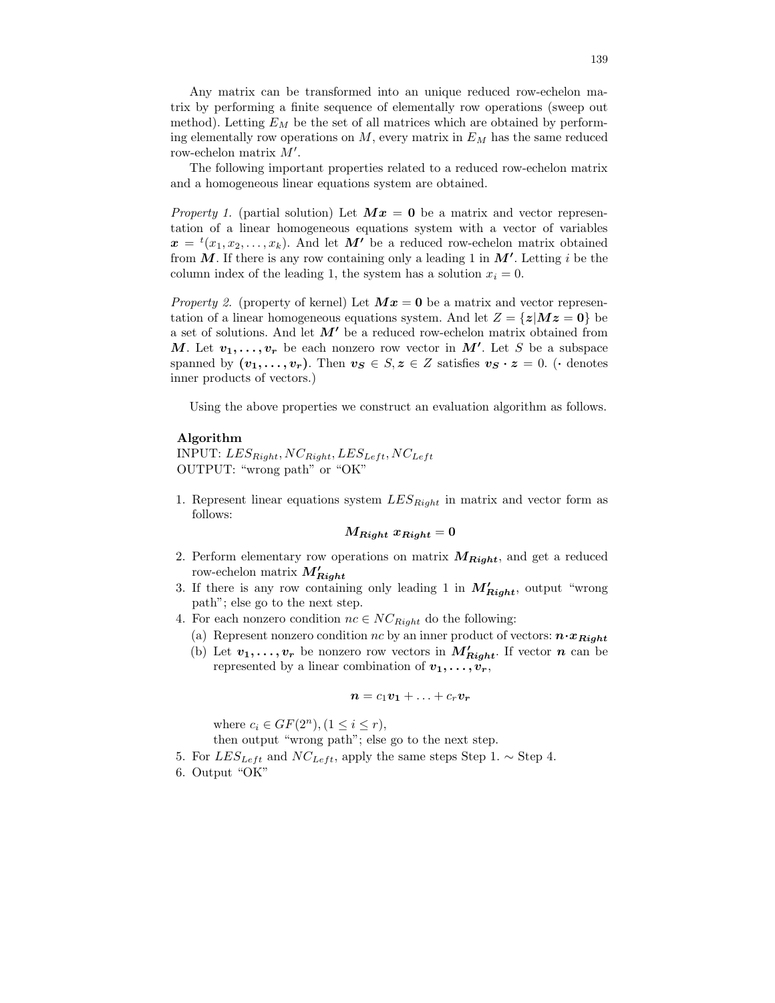Any matrix can be transformed into an unique reduced row-echelon matrix by performing a finite sequence of elementally row operations (sweep out method). Letting  $E_M$  be the set of all matrices which are obtained by performing elementally row operations on  $M$ , every matrix in  $E_M$  has the same reduced row-echelon matrix  $M'$ .

The following important properties related to a reduced row-echelon matrix and a homogeneous linear equations system are obtained.

*Property 1.* (partial solution) Let  $Mx = 0$  be a matrix and vector representation of a linear homogeneous equations system with a vector of variables  $\boldsymbol{x} = {}^{t}(x_1, x_2, \ldots, x_k)$ . And let  $\boldsymbol{M'}$  be a reduced row-echelon matrix obtained from  $\tilde{M}$ . If there is any row containing only a leading 1 in  $M'$ . Letting i be the column index of the leading 1, the system has a solution  $x_i = 0$ .

*Property 2.* (property of kernel) Let  $Mx = 0$  be a matrix and vector representation of a linear homogeneous equations system. And let  $Z = \{z | Mz = 0\}$  be a set of solutions. And let  $M'$  be a reduced row-echelon matrix obtained from M. Let  $v_1, \ldots, v_r$  be each nonzero row vector in M'. Let S be a subspace spanned by  $(v_1, \ldots, v_r)$ . Then  $v_s \in S$ ,  $z \in Z$  satisfies  $v_s \cdot z = 0$ . (• denotes inner products of vectors.)

Using the above properties we construct an evaluation algorithm as follows.

### Algorithm

INPUT:  $LES_{Right}$ ,  $NC_{Right}$ ,  $LES_{Left}$ ,  $NC_{Left}$ OUTPUT: "wrong path" or "OK"

1. Represent linear equations system  $LES_{Right}$  in matrix and vector form as follows:

 $M_{Riaht}$   $x_{Riaht} = 0$ 

- 2. Perform elementary row operations on matrix  $M_{Right}$ , and get a reduced row-echelon matrix  $M'_{Right}$
- 3. If there is any row containing only leading 1 in  $M'_{Right}$ , output "wrong path"; else go to the next step.
- 4. For each nonzero condition  $nc \in NC_{Right}$  do the following:
	- (a) Represent nonzero condition nc by an inner product of vectors:  $\mathbf{n} \cdot \mathbf{x}_{Right}$
	- (b) Let  $v_1, \ldots, v_r$  be nonzero row vectors in  $M'_{Right}$ . If vector n can be represented by a linear combination of  $v_1, \ldots, v_r$ ,

$$
n = c_1v_1 + \ldots + c_rv_r
$$

where  $c_i \in GF(2^n), (1 \leq i \leq r)$ ,

then output "wrong path"; else go to the next step.

- 5. For  $LES_{Left}$  and  $NC_{Left}$ , apply the same steps Step 1.  $\sim$  Step 4.
- 6. Output "OK"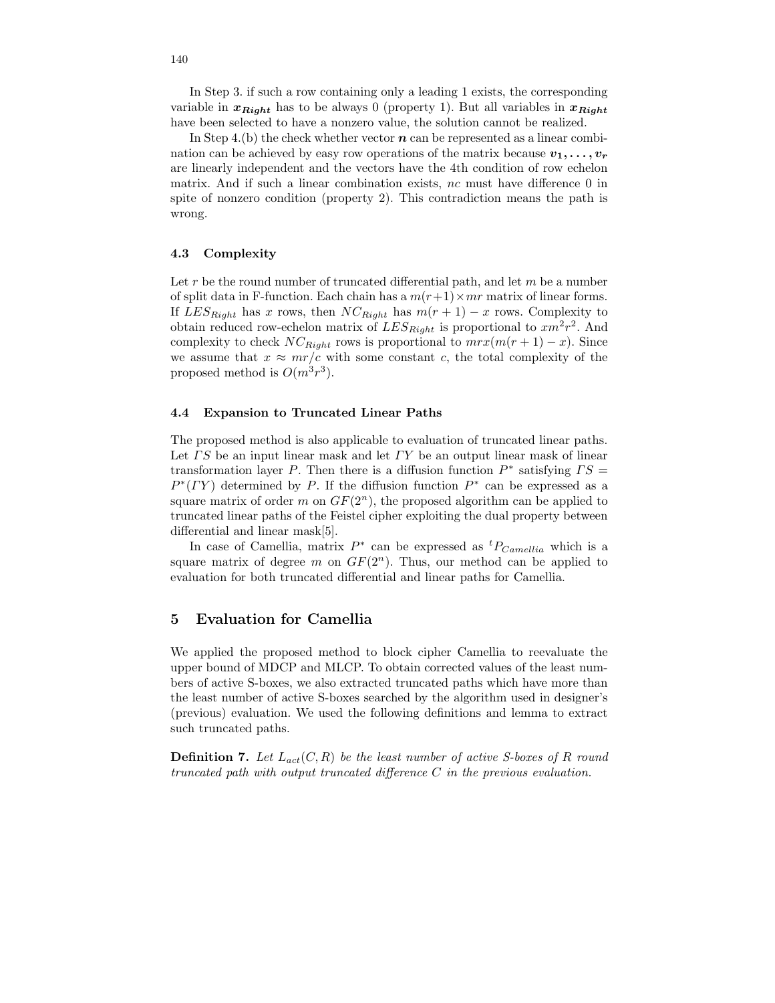In Step 3. if such a row containing only a leading 1 exists, the corresponding variable in  $x_{Right}$  has to be always 0 (property 1). But all variables in  $x_{Right}$ have been selected to have a nonzero value, the solution cannot be realized.

In Step 4.(b) the check whether vector  $n$  can be represented as a linear combination can be achieved by easy row operations of the matrix because  $v_1, \ldots, v_r$ are linearly independent and the vectors have the 4th condition of row echelon matrix. And if such a linear combination exists, nc must have difference 0 in spite of nonzero condition (property 2). This contradiction means the path is wrong.

### 4.3 Complexity

Let  $r$  be the round number of truncated differential path, and let  $m$  be a number of split data in F-function. Each chain has a  $m(r+1) \times mr$  matrix of linear forms. If  $LES_{Right}$  has x rows, then  $NC_{Right}$  has  $m(r + 1) - x$  rows. Complexity to obtain reduced row-echelon matrix of  $LES_{Right}$  is proportional to  $xm^2r^2$ . And complexity to check  $NC_{Right}$  rows is proportional to  $mrx(m(r + 1) - x)$ . Since we assume that  $x \approx mr/c$  with some constant c, the total complexity of the proposed method is  $O(m^3r^3)$ .

### 4.4 Expansion to Truncated Linear Paths

The proposed method is also applicable to evaluation of truncated linear paths. Let  $\Gamma S$  be an input linear mask and let  $\Gamma Y$  be an output linear mask of linear transformation layer P. Then there is a diffusion function  $P^*$  satisfying  $TS =$  $P^*(TY)$  determined by P. If the diffusion function  $P^*$  can be expressed as a square matrix of order m on  $GF(2^n)$ , the proposed algorithm can be applied to truncated linear paths of the Feistel cipher exploiting the dual property between differential and linear mask[5].

In case of Camellia, matrix  $P^*$  can be expressed as  ${}^tP_{Camellia}$  which is a square matrix of degree m on  $GF(2^n)$ . Thus, our method can be applied to evaluation for both truncated differential and linear paths for Camellia.

## 5 Evaluation for Camellia

We applied the proposed method to block cipher Camellia to reevaluate the upper bound of MDCP and MLCP. To obtain corrected values of the least numbers of active S-boxes, we also extracted truncated paths which have more than the least number of active S-boxes searched by the algorithm used in designer's (previous) evaluation. We used the following definitions and lemma to extract such truncated paths.

**Definition 7.** Let  $L_{act}(C, R)$  be the least number of active S-boxes of R round truncated path with output truncated difference C in the previous evaluation.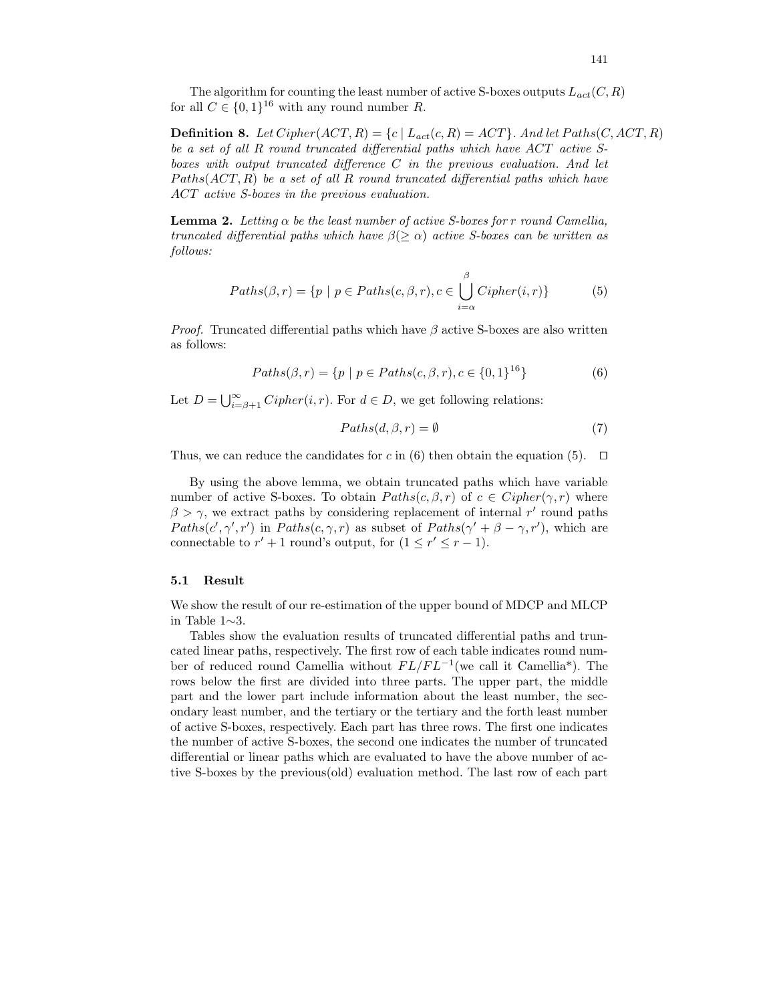The algorithm for counting the least number of active S-boxes outputs  $L_{act}(C, R)$ for all  $C \in \{0,1\}^{16}$  with any round number R.

**Definition 8.** Let Cipher(ACT, R) = {c | L<sub>act</sub>(c, R) = ACT}. And let Paths(C, ACT, R) be a set of all R round truncated differential paths which have ACT active Sboxes with output truncated difference  $C$  in the previous evaluation. And let  $Paths(ACT, R)$  be a set of all R round truncated differential paths which have ACT active S-boxes in the previous evaluation.

**Lemma 2.** Letting  $\alpha$  be the least number of active S-boxes for r round Camellia, truncated differential paths which have  $\beta(\geq \alpha)$  active S-boxes can be written as follows:

$$
Paths(\beta, r) = \{p \mid p \in Paths(c, \beta, r), c \in \bigcup_{i=\alpha}^{\beta} Cipher(i, r)\}
$$
(5)

*Proof.* Truncated differential paths which have  $\beta$  active S-boxes are also written as follows:

$$
Paths(\beta, r) = \{ p \mid p \in Paths(c, \beta, r), c \in \{0, 1\}^{16} \}
$$
\n
$$
(6)
$$

Let  $D = \bigcup_{i=\beta+1}^{\infty} Cipher(i, r)$ . For  $d \in D$ , we get following relations:

$$
Paths(d, \beta, r) = \emptyset
$$
\n<sup>(7)</sup>

Thus, we can reduce the candidates for c in (6) then obtain the equation (5).  $\Box$ 

By using the above lemma, we obtain truncated paths which have variable number of active S-boxes. To obtain  $Paths(c, \beta, r)$  of  $c \in Cipher(\gamma, r)$  where  $\beta > \gamma$ , we extract paths by considering replacement of internal r' round paths Paths(c',  $\gamma'$ , r') in Paths(c,  $\gamma$ , r) as subset of Paths( $\gamma' + \beta - \gamma$ , r'), which are connectable to  $r' + 1$  round's output, for  $(1 \le r' \le r - 1)$ .

### 5.1 Result

We show the result of our re-estimation of the upper bound of MDCP and MLCP in Table 1∼3.

Tables show the evaluation results of truncated differential paths and truncated linear paths, respectively. The first row of each table indicates round number of reduced round Camellia without  $FL/FL^{-1}$  (we call it Camellia<sup>\*</sup>). The rows below the first are divided into three parts. The upper part, the middle part and the lower part include information about the least number, the secondary least number, and the tertiary or the tertiary and the forth least number of active S-boxes, respectively. Each part has three rows. The first one indicates the number of active S-boxes, the second one indicates the number of truncated differential or linear paths which are evaluated to have the above number of active S-boxes by the previous(old) evaluation method. The last row of each part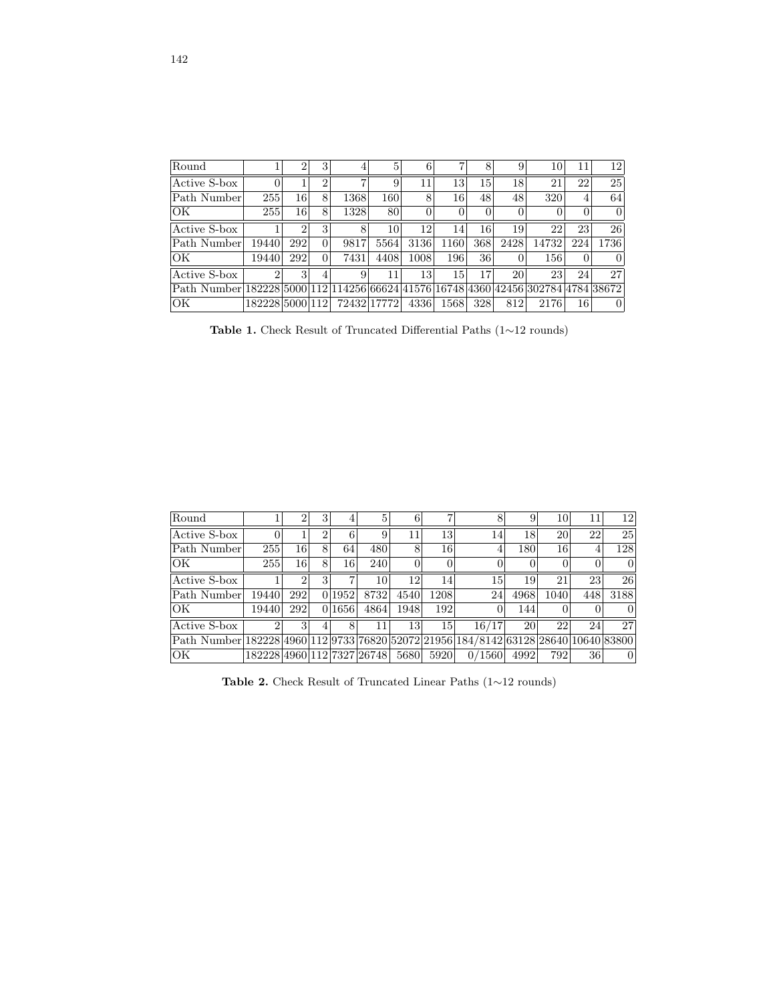| Round                                                                             |                 | $\overline{2}$ | 3              |             | $\mathbf{5}$ | 6    |        | 8        | 9        | 10    | 11       | 12       |
|-----------------------------------------------------------------------------------|-----------------|----------------|----------------|-------------|--------------|------|--------|----------|----------|-------|----------|----------|
| Active S-box                                                                      |                 |                | $\overline{2}$ |             | 9            | 11   | 13     | 15       | 18       | 21    | 22       | 25       |
| Path Number                                                                       | 255             | 16             | 8              | 1368        | 160          | 8    | 16     | 48       | 48       | 320   | 4        | 64       |
| OK                                                                                | 255             | 16             | 8              | 1328        | 80           | 0    | $\cup$ | $\Omega$ | $\theta$ |       | $\Omega$ | $\Omega$ |
| Active S-box                                                                      |                 | $\overline{2}$ | 3              | 8           | 10           | 12   | 14     | 16       | 19       | 22    | 23       | 26       |
| Path Number                                                                       | 19440           | 292            | $\Omega$       | 9817        | 5564         | 3136 | 1160   | 368      | 2428     | 14732 | 224      | 1736     |
| OK                                                                                | 19440           | 292            | $\Omega$       | 7431        | 4408         | 1008 | 196    | 36       | $\theta$ | 156   | $\theta$ |          |
| Active S-box                                                                      |                 | $\mathbf{R}$   |                | 9           | 11           | 13   | 15     | 17       | 20       | 23    | 24       | 27       |
| Path Number 182228 5000 112 114256 66624 41576 16748 4360 42456 302784 4784 38672 |                 |                |                |             |              |      |        |          |          |       |          |          |
| OK                                                                                | 182228150001121 |                |                | 72432 17772 |              | 4336 | 1568   | 328      | 812      | 2176  | 16       | 0        |

Table 1. Check Result of Truncated Differential Paths (1∼12 rounds)

| Round                                                                               |                            |              |           | 5    | 6              |      |                       | 9    | 10   | 11  | 12             |
|-------------------------------------------------------------------------------------|----------------------------|--------------|-----------|------|----------------|------|-----------------------|------|------|-----|----------------|
| Active S-box                                                                        |                            |              |           | 9    | 11             | 13   | 14                    | 18   | 20   | 22  | 25             |
| Path Number                                                                         | 255                        | 16           | 64        | 480  | 8              | 16   |                       | 180  | 16   |     | 128            |
| OK                                                                                  | 255                        | 16           | 16        | 240  | $\overline{0}$ |      |                       |      |      |     | $\overline{0}$ |
| Active S-box                                                                        |                            |              |           | 10   | 12             | 14   | 15                    | 19   | 21   | 23  | 26             |
| Path Number                                                                         | 19440                      | 292          | 0 1 9 5 2 | 8732 | 4540           | 1208 | 24                    | 4968 | 1040 | 448 | 3188           |
| OK                                                                                  | 19440                      | 292          | 0 1656    | 4864 | 1948           | 192  |                       | 144  |      |     | $\Omega$       |
| Active S-box                                                                        |                            | $\mathbf{R}$ | 8         | 11   | 13             | 15   | 16/17                 | 20   | 22   | 24  | 27             |
| Path Number 182228 4960 112 9733 76820 52072 21956 184/8142 63128 28640 10640 83800 |                            |              |           |      |                |      |                       |      |      |     |                |
| OK                                                                                  | 182228 4960 112 7327 26748 |              |           |      | 5680           | 5920 | $^{\prime}1560$<br>0/ | 4992 | 792  | 36  | $\Omega$       |

Table 2. Check Result of Truncated Linear Paths (1∼12 rounds)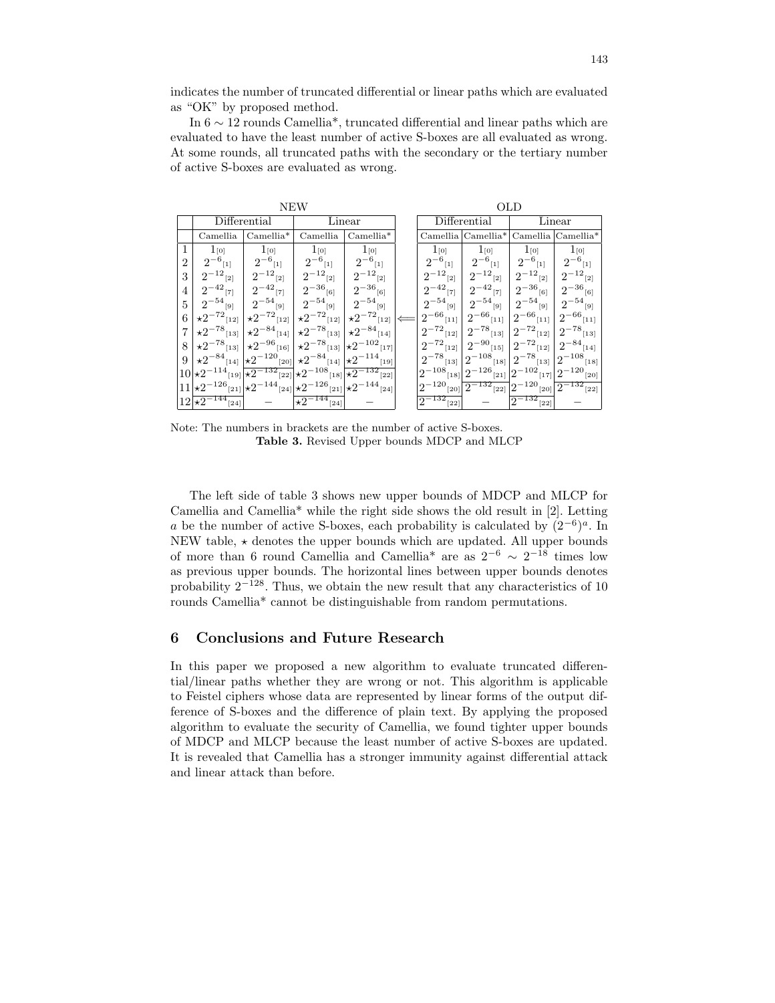indicates the number of truncated differential or linear paths which are evaluated as "OK" by proposed method.

In  $6 \sim 12$  rounds Camellia\*, truncated differential and linear paths which are evaluated to have the least number of active S-boxes are all evaluated as wrong. At some rounds, all truncated paths with the secondary or the tertiary number of active S-boxes are evaluated as wrong.

|                |                                |                                            | <b>NEW</b>                                        | OLD                                    |                                   |                            |                      |                      |  |
|----------------|--------------------------------|--------------------------------------------|---------------------------------------------------|----------------------------------------|-----------------------------------|----------------------------|----------------------|----------------------|--|
|                |                                | Differential                               | Linear                                            |                                        | $\overline{\text{D}}$ ifferential |                            | Linear               |                      |  |
|                | Camellia                       | $Camellia*$                                | Camellia                                          | $Camellia*$                            |                                   | Camellia Camellia*         |                      | Camellia Camellia*   |  |
|                | $1_{[0]}$                      | $1_{[0]}$                                  | $1_{[0]}$                                         | $1_{[0]}$                              | $1_{[0]}$                         | $1_{[0]}$                  | $1_{[0]}$            | $1_{[0]}$            |  |
| $\overline{2}$ | $2^{-6}$<br>$[1]$              | $2^{-6}$<br>$[1]$                          | $2^{-6}$<br>$[1]$                                 | $2^{-6}$<br>$[1]$                      | $2^{-6}$<br>$[1]$                 | $2^{-6}$<br>$[1]$          | $2^{-6}$<br>$[1]$    | $2^{-6}$ [1]         |  |
| 3              | $2^{-12}$ [2]                  | $2^{-12}$ [2]                              | $2^{-12}$ [2]                                     | $2^{-12}$ [2]                          | $2^{-12}$<br>$[2]$                | $2^{-12}\mbox{\tiny{[2]}}$ | $2^{-12}$ [2]        | $2^{-12}$ [2]        |  |
| 4              | $2^{-42}$ [7]                  | $2^{-42}$ [7]                              | $2^{-36}$ [6]                                     | $2^{-36}$ [6]                          | $2^{-42}$ [7]                     | $2^{-42}$ [7]              | $2^{-36}$ [6]        | $2^{-36}$ [6]        |  |
| 5              | $2^{-54}$ [9]                  | $2^{-54}$ [9]                              | $2^{-54}$ [9]                                     | $2^{-54}$ [9]                          | $2^{-54}$<br>$[9]$                | $2^{-54}$<br>$[9]$         | $2^{-54}$<br>$[9]$   | $2^{-54}$ [9]        |  |
| 6              | $\star 2^{-72}$ [12]           | $\star 2^{-72}$ [12]                       | $\star 2^{-72}$ [12]                              | $\star 2^{-72}$ [12]                   | $2^{-66}$ [11]                    | $2^{-66}$ [11]             | $2^{-66}$ [11]       | $2^{-66}$ [11]       |  |
|                | $\star 2^{-78}$ [13]           | $\star 2^{-84}$ [14]                       | $\times 2^{-78}$<br>$[13]$                        | $\star 2^{-84}$ [14]                   | $2^{-72}$<br>$[12]$               | $2^{-78}$<br>$[13]$        | $2^{-72}$<br>$[12]$  | $2^{-78}$ [13]       |  |
| 8              | $\star 2^{-78}$ [13]           | $\star 2^{-96}$ [16]                       | $\times 2^{-78}$<br>[13]                          | $\star 2^{-102}$ [17]                  | $2^{-72}$<br>$[12]$               | $2^{-90}$<br>$[15]$        | $2^{-72}$ [12]       | $2^{-84}$ [14]       |  |
| 9              | $\star 2^{-84}$ [14]           | $\star 2^{-120}$ [20]                      | $\star 2^{-84}$ [14]                              | $\star 2^{-114}$<br>$[19]$             | $2^{-78}$ [13]                    | $2^{-108}$ [18]            | $2^{-78}$ [13]       | $2^{-108}$ [18]      |  |
|                | $10 \times 2^{-114}$ [19]      | $\star 2^{-132}$ [22]                      | $\star 2^{-108}$ [18] $\overline{\star 2^{-132}}$ | $[22]$                                 | $2^{-108}$ [18]                   | $2^{-126}$ [21]            | $2^{-102}$ [17]      | $2^{-120} _{[20]}$   |  |
|                | $11 \times 2^{-126}$           | $ 211  \star 2^{-144}  24  \star 2^{-126}$ |                                                   | $\sum_{[21]} \star 2^{-144}$<br>$[24]$ | $-120$ <sub>[20]</sub>            | $2^{-132}$<br>$[22]$       | $-120$<br>[20]       | $2^{-132}$<br>$[22]$ |  |
|                | $12 \times 2^{-144}$<br>$[24]$ |                                            | $\star 2^{-144}$<br>$[24]$                        |                                        | $2^{-132}$<br>$[22]$              |                            | $2^{-132}$<br>$[22]$ |                      |  |

Note: The numbers in brackets are the number of active S-boxes. Table 3. Revised Upper bounds MDCP and MLCP

The left side of table 3 shows new upper bounds of MDCP and MLCP for Camellia and Camellia\* while the right side shows the old result in [2]. Letting a be the number of active S-boxes, each probability is calculated by  $(2^{-6})^a$ . In NEW table,  $\star$  denotes the upper bounds which are updated. All upper bounds of more than 6 round Camellia and Camellia<sup>\*</sup> are as  $2^{-6} \sim 2^{-18}$  times low as previous upper bounds. The horizontal lines between upper bounds denotes probability  $2^{-128}$ . Thus, we obtain the new result that any characteristics of 10 rounds Camellia\* cannot be distinguishable from random permutations.

## 6 Conclusions and Future Research

In this paper we proposed a new algorithm to evaluate truncated differential/linear paths whether they are wrong or not. This algorithm is applicable to Feistel ciphers whose data are represented by linear forms of the output difference of S-boxes and the difference of plain text. By applying the proposed algorithm to evaluate the security of Camellia, we found tighter upper bounds of MDCP and MLCP because the least number of active S-boxes are updated. It is revealed that Camellia has a stronger immunity against differential attack and linear attack than before.